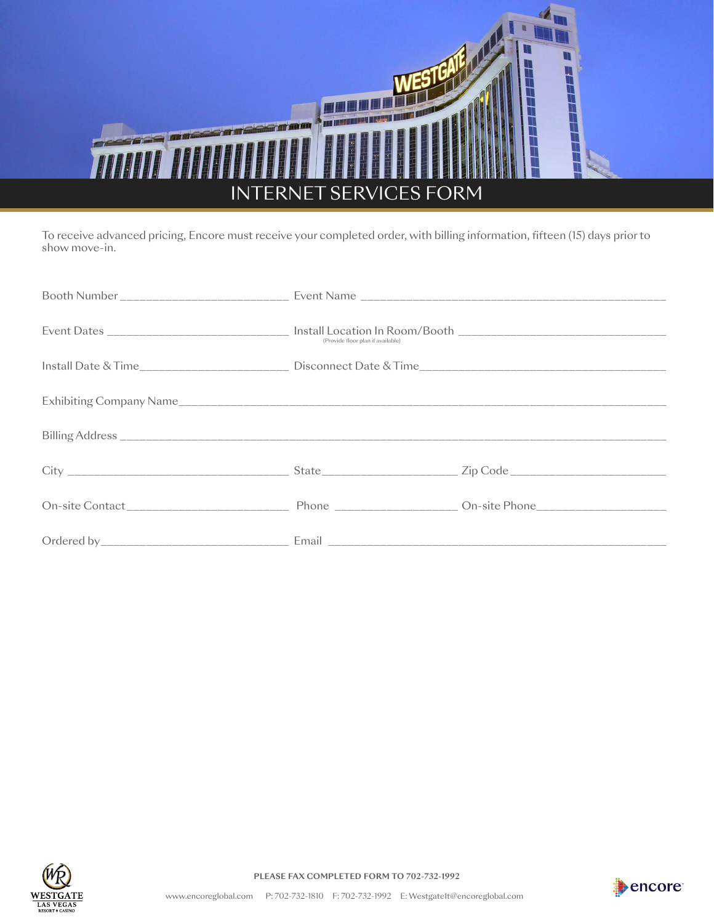

To receive advanced pricing, Encore must receive your completed order, with billing information, fifteen (15) days prior to show move-in.

| (Provide floor plan if available) |  |  |  |
|-----------------------------------|--|--|--|
|                                   |  |  |  |
|                                   |  |  |  |
|                                   |  |  |  |
|                                   |  |  |  |
|                                   |  |  |  |
|                                   |  |  |  |



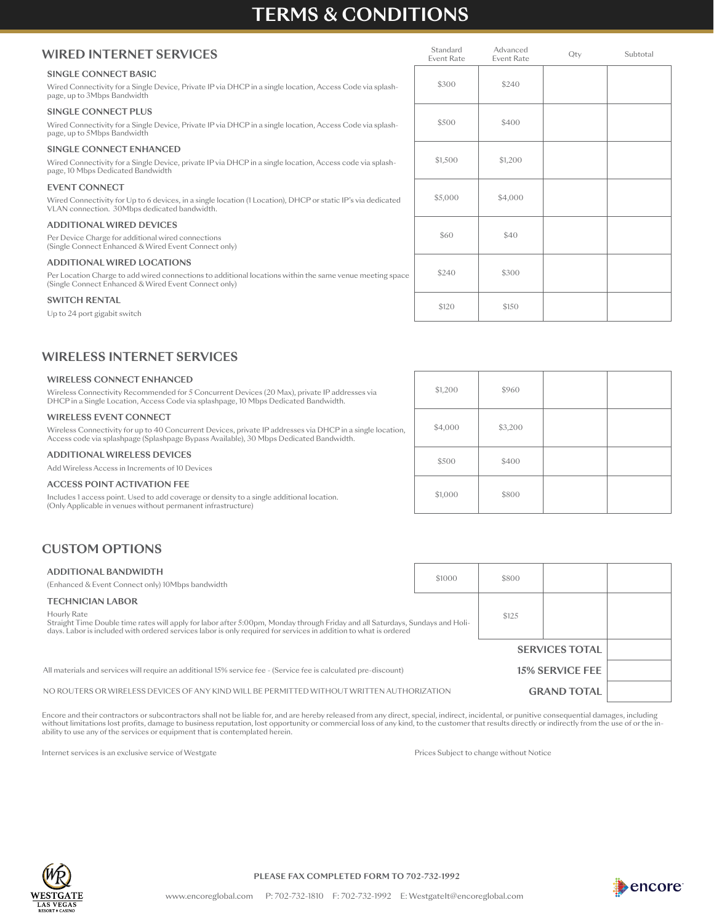## **TERMS & CONDITIONS**

### **WIRED INTERNET SERVICES**

#### **SINGLE CONNECT BASIC**

Wired Connectivity for a Single Device, Private IP via DHCP in a single location, Access Code v page, up to 3Mbps Bandwidth

### **SINGLE CONNECT PLUS**

Wired Connectivity for a Single Device, Private IP via DHCP in a single location, Access Code v page, up to 5Mbps Bandwidth

### **SINGLE CONNECT ENHANCED**

Wired Connectivity for a Single Device, private IP via DHCP in a single location, Access code via page, 10 Mbps Dedicated Bandwidth

### **EVENT CONNECT**

Wired Connectivity for Up to 6 devices, in a single location (1 Location), DHCP or static IP's via VLAN connection. 30Mbps dedicated bandwidth.

### **ADDITIONAL WIRED DEVICES**

Per Device Charge for additional wired connections (Single Connect Enhanced & Wired Event Connect only)

### **ADDITIONAL WIRED LOCATIONS**

Per Location Charge to add wired connections to additional locations within the same venue m (Single Connect Enhanced & Wired Event Connect only)

### **SWITCH RENTAL**

Up to 24 port gigabit switch

|              | Standard<br><b>Event Rate</b> | Advanced<br><b>Event Rate</b> | Qty | Subtotal |
|--------------|-------------------------------|-------------------------------|-----|----------|
| ia splash-   | \$300                         | \$240                         |     |          |
| ia splash-   | \$500                         | \$400                         |     |          |
| a splash-    | \$1,500                       | \$1,200                       |     |          |
| dedicated    | \$5,000                       | \$4,000                       |     |          |
|              | \$60                          | \$40                          |     |          |
| eeting space | \$240                         | \$300                         |     |          |
|              | \$120                         | \$150                         |     |          |

### **WIRELESS INTERNET SERVICES**

#### **WIRELESS CONNECT ENHANCED**

Wireless Connectivity Recommended for 5 Concurrent Devices (20 Max), private IP addresses via DHCP in a Single Location, Access Code via splashpage, 10 Mbps Dedicated Bandwidth.

### **WIRELESS EVENT CONNECT**

Wireless Connectivity for up to 40 Concurrent Devices, private IP addresses via DHCP in a single location,<br>Access code via splashpage (Splashpage Bypass Available), 30 Mbps Dedicated Bandwidth.

### **ADDITIONAL WIRELESS DEVICES**

Add Wireless Access in Increments of 10 Devices

#### **ACCESS POINT ACTIVATION FEE**

Includes 1 access point. Used to add coverage or density to a single additional location. (Only Applicable in venues without permanent infrastructure)

|    | \$1,200 | \$960   |  |
|----|---------|---------|--|
| n, | \$4,000 | \$3,200 |  |
|    | \$500   | \$400   |  |
|    | \$1,000 | \$800   |  |

### **CUSTOM OPTIONS**

| ADDITIONAL BANDWIDTH<br>(Enhanced & Event Connect only) 10Mbps bandwidth                                                                                                                                                                                         | \$1000 | \$800                  |                       |  |
|------------------------------------------------------------------------------------------------------------------------------------------------------------------------------------------------------------------------------------------------------------------|--------|------------------------|-----------------------|--|
| <b>TECHNICIAN LABOR</b>                                                                                                                                                                                                                                          |        |                        |                       |  |
| Hourly Rate<br>Straight Time Double time rates will apply for labor after 5:00pm, Monday through Friday and all Saturdays, Sundays and Holi-<br>days. Labor is included with ordered services labor is only required for services in addition to what is ordered | \$125  |                        |                       |  |
|                                                                                                                                                                                                                                                                  |        |                        | <b>SERVICES TOTAL</b> |  |
| All materials and services will require an additional 15% service fee - (Service fee is calculated pre-discount)                                                                                                                                                 |        | <b>15% SERVICE FEE</b> |                       |  |
| NO ROUTERS OR WIRELESS DEVICES OF ANY KIND WILL BE PERMITTED WITHOUT WRITTEN AUTHORIZATION                                                                                                                                                                       |        | <b>GRAND TOTAL</b>     |                       |  |

Encore and their contractors or subcontractors shall not be liable for, and are hereby released from any direct, special, indirect, incidental, or punitive consequential damages, including without limitations lost profits, damage to business reputation, lost opportunity or commercial loss of any kind, to the customer that results directly or indirectly from the use of or the inability to use any of the services or equipment that is contemplated herein.

Internet services is an exclusive service of Westgate Prices Subject to change without Notice



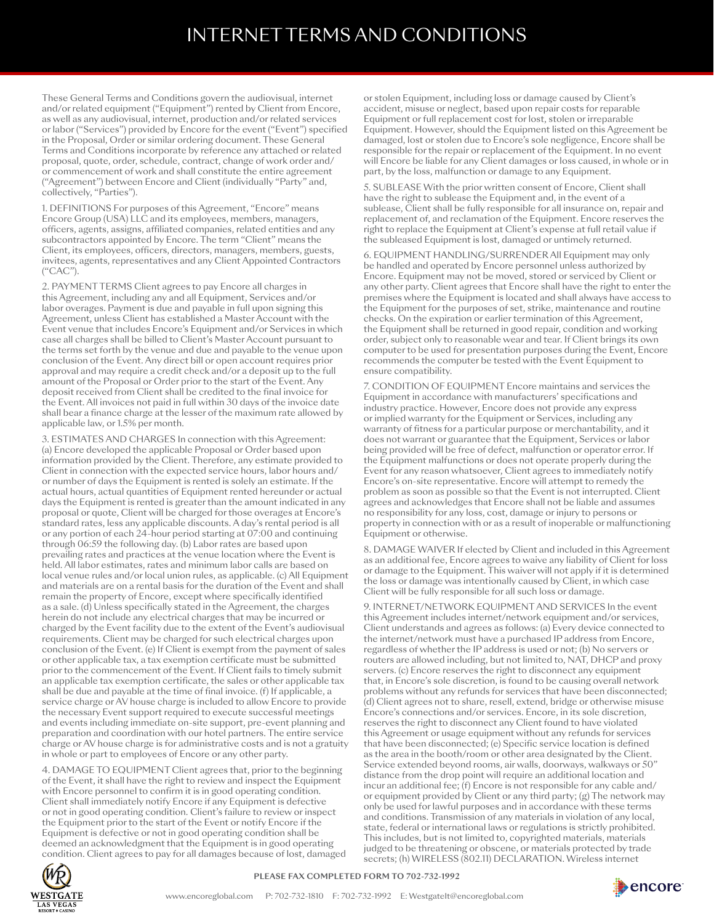# INTERNET TERMS AND CONDITIONS

These General Terms and Conditions govern the audiovisual, internet and/or related equipment ("Equipment") rented by Client from Encore, as well as any audiovisual, internet, production and/or related services or labor ("Services") provided by Encore for the event ("Event") specified in the Proposal, Order or similar ordering document. These General Terms and Conditions incorporate by reference any attached or related proposal, quote, order, schedule, contract, change of work order and/ or commencement of work and shall constitute the entire agreement ("Agreement") between Encore and Client (individually "Party" and, collectively, "Parties").

1. DEFINITIONS For purposes of this Agreement, "Encore" means Encore Group (USA) LLC and its employees, members, managers, officers, agents, assigns, affiliated companies, related entities and any subcontractors appointed by Encore. The term "Client" means the Client, its employees, officers, directors, managers, members, guests, invitees, agents, representatives and any Client Appointed Contractors ("CAC").

2. PAYMENT TERMS Client agrees to pay Encore all charges in this Agreement, including any and all Equipment, Services and/or labor overages. Payment is due and payable in full upon signing this Agreement, unless Client has established a Master Account with the Event venue that includes Encore's Equipment and/or Services in which case all charges shall be billed to Client's Master Account pursuant to the terms set forth by the venue and due and payable to the venue upon conclusion of the Event. Any direct bill or open account requires prior approval and may require a credit check and/or a deposit up to the full amount of the Proposal or Order prior to the start of the Event. Any deposit received from Client shall be credited to the final invoice for the Event. All invoices not paid in full within 30 days of the invoice date shall bear a finance charge at the lesser of the maximum rate allowed by applicable law, or 1.5% per month.

3. ESTIMATES AND CHARGES In connection with this Agreement: (a) Encore developed the applicable Proposal or Order based upon information provided by the Client. Therefore, any estimate provided to Client in connection with the expected service hours, labor hours and/ or number of days the Equipment is rented is solely an estimate. If the actual hours, actual quantities of Equipment rented hereunder or actual days the Equipment is rented is greater than the amount indicated in any proposal or quote, Client will be charged for those overages at Encore's standard rates, less any applicable discounts. A day's rental period is all or any portion of each 24-hour period starting at 07:00 and continuing through 06:59 the following day. (b) Labor rates are based upon prevailing rates and practices at the venue location where the Event is held. All labor estimates, rates and minimum labor calls are based on local venue rules and/or local union rules, as applicable. (c) All Equipment and materials are on a rental basis for the duration of the Event and shall remain the property of Encore, except where specifically identified as a sale. (d) Unless specifically stated in the Agreement, the charges herein do not include any electrical charges that may be incurred or charged by the Event facility due to the extent of the Event's audiovisual requirements. Client may be charged for such electrical charges upon conclusion of the Event. (e) If Client is exempt from the payment of sales or other applicable tax, a tax exemption certificate must be submitted prior to the commencement of the Event. If Client fails to timely submit an applicable tax exemption certificate, the sales or other applicable tax shall be due and payable at the time of final invoice. (f) If applicable, a service charge or AV house charge is included to allow Encore to provide the necessary Event support required to execute successful meetings and events including immediate on-site support, pre-event planning and preparation and coordination with our hotel partners. The entire service charge or AV house charge is for administrative costs and is not a gratuity in whole or part to employees of Encore or any other party.

4. DAMAGE TO EQUIPMENT Client agrees that, prior to the beginning of the Event, it shall have the right to review and inspect the Equipment with Encore personnel to confirm it is in good operating condition. Client shall immediately notify Encore if any Equipment is defective or not in good operating condition. Client's failure to review or inspect the Equipment prior to the start of the Event or notify Encore if the Equipment is defective or not in good operating condition shall be deemed an acknowledgment that the Equipment is in good operating condition. Client agrees to pay for all damages because of lost, damaged

or stolen Equipment, including loss or damage caused by Client's accident, misuse or neglect, based upon repair costs for reparable Equipment or full replacement cost for lost, stolen or irreparable Equipment. However, should the Equipment listed on this Agreement be damaged, lost or stolen due to Encore's sole negligence, Encore shall be responsible for the repair or replacement of the Equipment. In no event will Encore be liable for any Client damages or loss caused, in whole or in part, by the loss, malfunction or damage to any Equipment.

5. SUBLEASE With the prior written consent of Encore, Client shall have the right to sublease the Equipment and, in the event of a sublease, Client shall be fully responsible for all insurance on, repair and replacement of, and reclamation of the Equipment. Encore reserves the right to replace the Equipment at Client's expense at full retail value if the subleased Equipment is lost, damaged or untimely returned.

6. EQUIPMENT HANDLING/SURRENDER All Equipment may only be handled and operated by Encore personnel unless authorized by Encore. Equipment may not be moved, stored or serviced by Client or any other party. Client agrees that Encore shall have the right to enter the premises where the Equipment is located and shall always have access to the Equipment for the purposes of set, strike, maintenance and routine checks. On the expiration or earlier termination of this Agreement, the Equipment shall be returned in good repair, condition and working order, subject only to reasonable wear and tear. If Client brings its own computer to be used for presentation purposes during the Event, Encore recommends the computer be tested with the Event Equipment to ensure compatibility.

7. CONDITION OF EQUIPMENT Encore maintains and services the Equipment in accordance with manufacturers' specifications and industry practice. However, Encore does not provide any express or implied warranty for the Equipment or Services, including any warranty of fitness for a particular purpose or merchantability, and it does not warrant or guarantee that the Equipment, Services or labor being provided will be free of defect, malfunction or operator error. If the Equipment malfunctions or does not operate properly during the Event for any reason whatsoever, Client agrees to immediately notify Encore's on-site representative. Encore will attempt to remedy the problem as soon as possible so that the Event is not interrupted. Client agrees and acknowledges that Encore shall not be liable and assumes no responsibility for any loss, cost, damage or injury to persons or property in connection with or as a result of inoperable or malfunctioning Equipment or otherwise.

8. DAMAGE WAIVER If elected by Client and included in this Agreement as an additional fee, Encore agrees to waive any liability of Client for loss or damage to the Equipment. This waiver will not apply if it is determined the loss or damage was intentionally caused by Client, in which case Client will be fully responsible for all such loss or damage.

9. INTERNET/NETWORK EQUIPMENT AND SERVICES In the event this Agreement includes internet/network equipment and/or services, Client understands and agrees as follows: (a) Every device connected to the internet/network must have a purchased IP address from Encore, regardless of whether the IP address is used or not; (b) No servers or routers are allowed including, but not limited to, NAT, DHCP and proxy servers. (c) Encore reserves the right to disconnect any equipment that, in Encore's sole discretion, is found to be causing overall network problems without any refunds for services that have been disconnected; (d) Client agrees not to share, resell, extend, bridge or otherwise misuse Encore's connections and/or services. Encore, in its sole discretion, reserves the right to disconnect any Client found to have violated this Agreement or usage equipment without any refunds for services that have been disconnected; (e) Specific service location is defined as the area in the booth/room or other area designated by the Client. Service extended beyond rooms, air walls, doorways, walkways or 50" distance from the drop point will require an additional location and incur an additional fee; (f) Encore is not responsible for any cable and/ or equipment provided by Client or any third party; (g) The network may only be used for lawful purposes and in accordance with these terms and conditions. Transmission of any materials in violation of any local, state, federal or international laws or regulations is strictly prohibited. This includes, but is not limited to, copyrighted materials, materials judged to be threatening or obscene, or materials protected by trade secrets; (h) WIRELESS (802.11) DECLARATION. Wireless internet



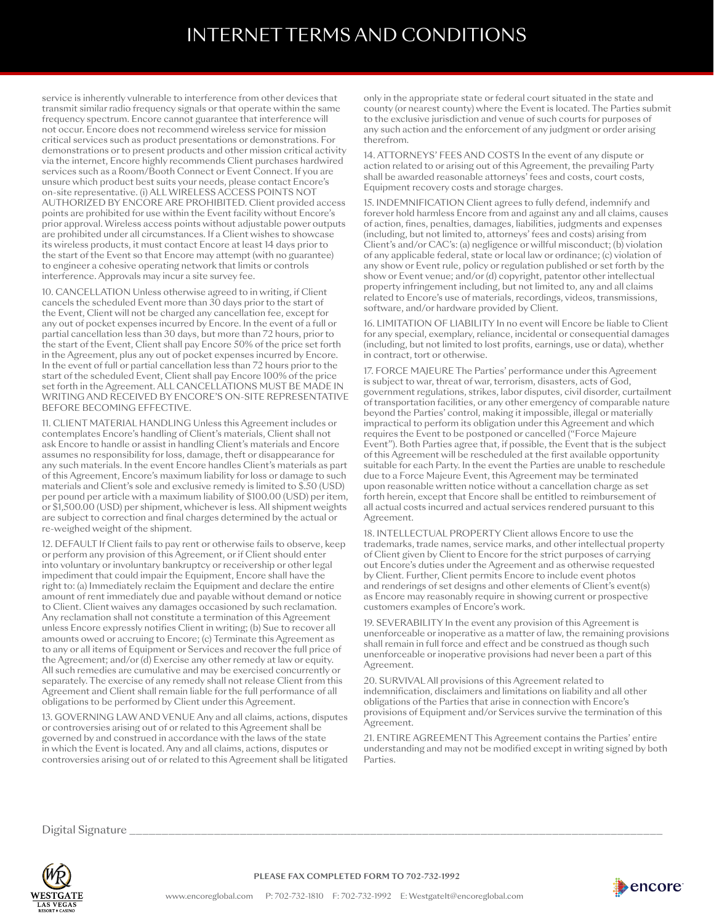## INTERNET TERMS AND CONDITIONS

service is inherently vulnerable to interference from other devices that transmit similar radio frequency signals or that operate within the same frequency spectrum. Encore cannot guarantee that interference will not occur. Encore does not recommend wireless service for mission critical services such as product presentations or demonstrations. For demonstrations or to present products and other mission critical activity via the internet, Encore highly recommends Client purchases hardwired services such as a Room/Booth Connect or Event Connect. If you are unsure which product best suits your needs, please contact Encore's on-site representative. (i) ALL WIRELESS ACCESS POINTS NOT AUTHORIZED BY ENCORE ARE PROHIBITED. Client provided access points are prohibited for use within the Event facility without Encore's prior approval. Wireless access points without adjustable power outputs are prohibited under all circumstances. If a Client wishes to showcase its wireless products, it must contact Encore at least 14 days prior to the start of the Event so that Encore may attempt (with no guarantee) to engineer a cohesive operating network that limits or controls interference. Approvals may incur a site survey fee.

10. CANCELLATION Unless otherwise agreed to in writing, if Client cancels the scheduled Event more than 30 days prior to the start of the Event, Client will not be charged any cancellation fee, except for any out of pocket expenses incurred by Encore. In the event of a full or partial cancellation less than 30 days, but more than 72 hours, prior to the start of the Event, Client shall pay Encore 50% of the price set forth in the Agreement, plus any out of pocket expenses incurred by Encore. In the event of full or partial cancellation less than 72 hours prior to the start of the scheduled Event, Client shall pay Encore 100% of the price set forth in the Agreement. ALL CANCELLATIONS MUST BE MADE IN WRITING AND RECEIVED BY ENCORE'S ON-SITE REPRESENTATIVE BEFORE BECOMING EFFECTIVE.

11. CLIENT MATERIAL HANDLING Unless this Agreement includes or contemplates Encore's handling of Client's materials, Client shall not ask Encore to handle or assist in handling Client's materials and Encore assumes no responsibility for loss, damage, theft or disappearance for any such materials. In the event Encore handles Client's materials as part of this Agreement, Encore's maximum liability for loss or damage to such materials and Client's sole and exclusive remedy is limited to \$.50 (USD) per pound per article with a maximum liability of \$100.00 (USD) per item, or \$1,500.00 (USD) per shipment, whichever is less. All shipment weights are subject to correction and final charges determined by the actual or re-weighed weight of the shipment.

12. DEFAULT If Client fails to pay rent or otherwise fails to observe, keep or perform any provision of this Agreement, or if Client should enter into voluntary or involuntary bankruptcy or receivership or other legal impediment that could impair the Equipment, Encore shall have the right to: (a) Immediately reclaim the Equipment and declare the entire amount of rent immediately due and payable without demand or notice to Client. Client waives any damages occasioned by such reclamation. Any reclamation shall not constitute a termination of this Agreement unless Encore expressly notifies Client in writing; (b) Sue to recover all amounts owed or accruing to Encore; (c) Terminate this Agreement as to any or all items of Equipment or Services and recover the full price of the Agreement; and/or (d) Exercise any other remedy at law or equity. All such remedies are cumulative and may be exercised concurrently or separately. The exercise of any remedy shall not release Client from this Agreement and Client shall remain liable for the full performance of all obligations to be performed by Client under this Agreement.

13. GOVERNING LAW AND VENUE Any and all claims, actions, disputes or controversies arising out of or related to this Agreement shall be governed by and construed in accordance with the laws of the state in which the Event is located. Any and all claims, actions, disputes or controversies arising out of or related to this Agreement shall be litigated

only in the appropriate state or federal court situated in the state and county (or nearest county) where the Event is located. The Parties submit to the exclusive jurisdiction and venue of such courts for purposes of any such action and the enforcement of any judgment or order arising therefrom.

14. ATTORNEYS' FEES AND COSTS In the event of any dispute or action related to or arising out of this Agreement, the prevailing Party shall be awarded reasonable attorneys' fees and costs, court costs, Equipment recovery costs and storage charges.

15. INDEMNIFICATION Client agrees to fully defend, indemnify and forever hold harmless Encore from and against any and all claims, causes of action, fines, penalties, damages, liabilities, judgments and expenses (including, but not limited to, attorneys' fees and costs) arising from Client's and/or CAC's: (a) negligence or willful misconduct; (b) violation of any applicable federal, state or local law or ordinance; (c) violation of any show or Event rule, policy or regulation published or set forth by the show or Event venue; and/or (d) copyright, patentor other intellectual property infringement including, but not limited to, any and all claims related to Encore's use of materials, recordings, videos, transmissions, software, and/or hardware provided by Client.

16. LIMITATION OF LIABILITY In no event will Encore be liable to Client for any special, exemplary, reliance, incidental or consequential damages (including, but not limited to lost profits, earnings, use or data), whether in contract, tort or otherwise.

17. FORCE MAJEURE The Parties' performance under this Agreement is subject to war, threat of war, terrorism, disasters, acts of God, government regulations, strikes, labor disputes, civil disorder, curtailment of transportation facilities, or any other emergency of comparable nature beyond the Parties' control, making it impossible, illegal or materially impractical to perform its obligation under this Agreement and which requires the Event to be postponed or cancelled ("Force Majeure Event"). Both Parties agree that, if possible, the Event that is the subject of this Agreement will be rescheduled at the first available opportunity suitable for each Party. In the event the Parties are unable to reschedule due to a Force Majeure Event, this Agreement may be terminated upon reasonable written notice without a cancellation charge as set forth herein, except that Encore shall be entitled to reimbursement of all actual costs incurred and actual services rendered pursuant to this Agreement.

18. INTELLECTUAL PROPERTY Client allows Encore to use the trademarks, trade names, service marks, and other intellectual property of Client given by Client to Encore for the strict purposes of carrying out Encore's duties under the Agreement and as otherwise requested by Client. Further, Client permits Encore to include event photos and renderings of set designs and other elements of Client's event(s) as Encore may reasonably require in showing current or prospective customers examples of Encore's work.

19. SEVERABILITY In the event any provision of this Agreement is unenforceable or inoperative as a matter of law, the remaining provisions shall remain in full force and effect and be construed as though such unenforceable or inoperative provisions had never been a part of this Agreement.

20. SURVIVAL All provisions of this Agreement related to indemnification, disclaimers and limitations on liability and all other obligations of the Parties that arise in connection with Encore's provisions of Equipment and/or Services survive the termination of this Agreement.

21. ENTIRE AGREEMENT This Agreement contains the Parties' entire understanding and may not be modified except in writing signed by both Parties.

Digital Signature  $\_$ 



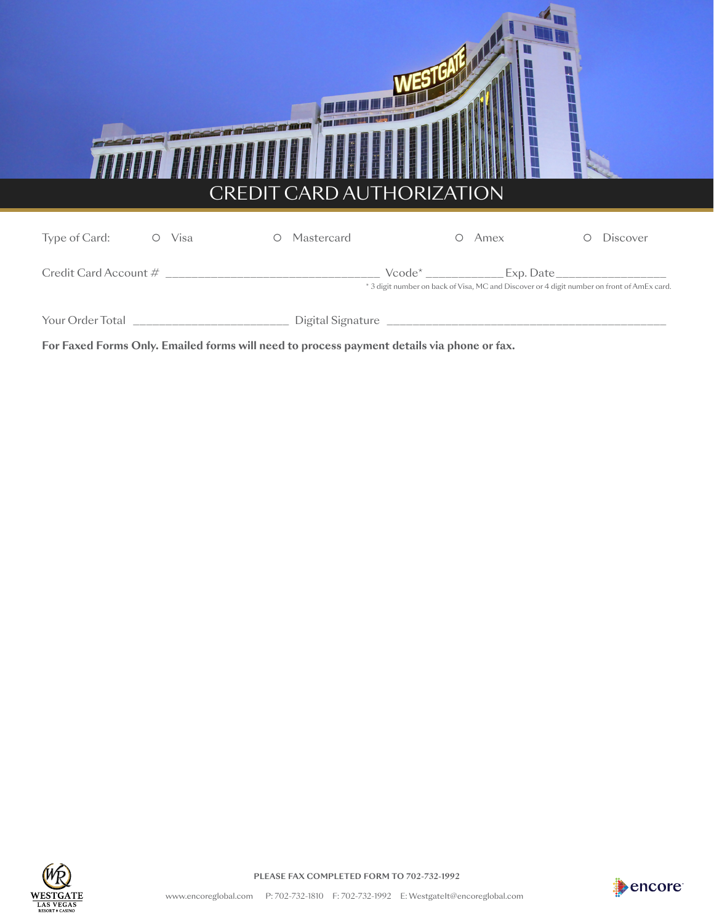

**For Faxed Forms Only. Emailed forms will need to process payment details via phone or fax.**